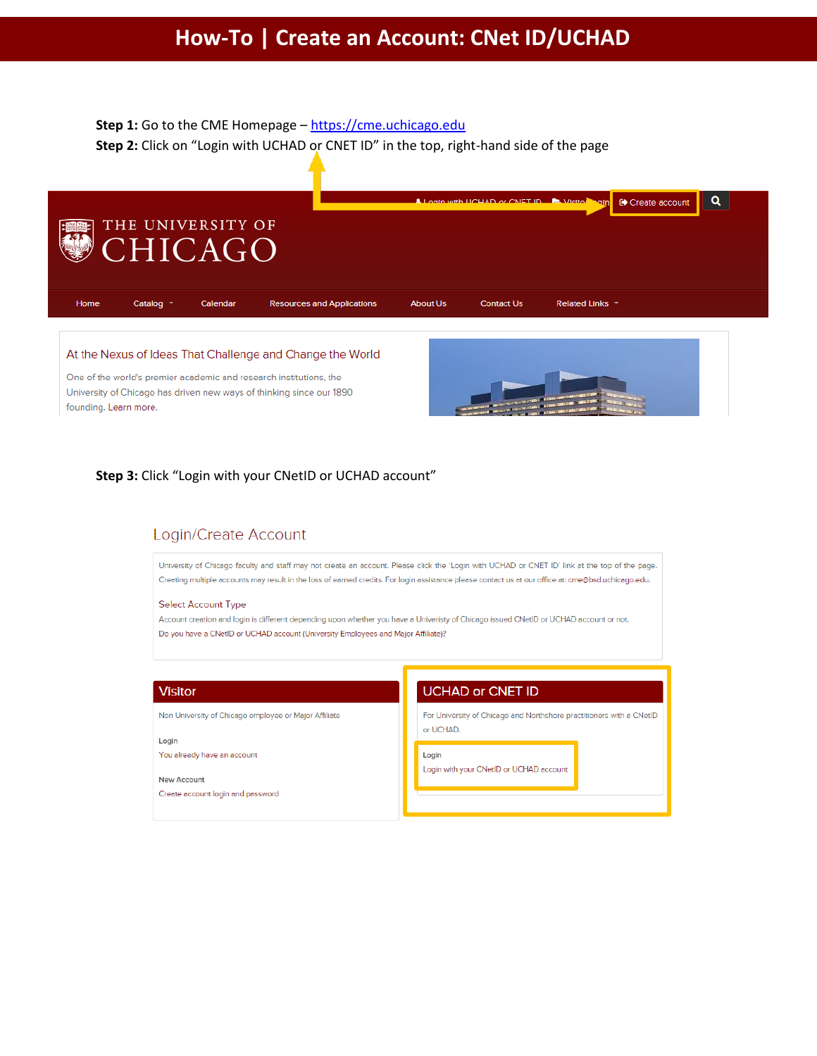# Step 1: Go to the CME Homepage - https://cme.uchicago.edu Step 2: Click on "Login with UCHAD or CNET ID" in the top, right-hand side of the page



#### At the Nexus of Ideas That Challenge and Change the World

One of the world's premier academic and research institutions, the University of Chicago has driven new ways of thinking since our 1890 founding. Learn more.



### Step 3: Click "Login with your CNetID or UCHAD account"

## Login/Create Account

University of Chicago faculty and staff may not create an account. Please click the 'Login with UCHAD or CNET ID' link at the top of the page. Creating multiple accounts may result in the loss of earned credits. For login assistance please contact us at our office at: cme@bsd.uchicago.edu.

#### **Select Account Type**

Account creation and login is different depending upon whether you have a Univeristy of Chicago issued CNetID or UCHAD account or not. Do you have a CNetID or UCHAD account (University Employees and Major Affiliate)?

### **Visitor**

Non University of Chicago employee or Major Affiliate

Login You already have an account

## New Account

Create account login and password

### **UCHAD or CNET ID**

For University of Chicago and Northshore practitioners with a CNetID or UCHAD.

Login

Login with your CNetID or UCHAD account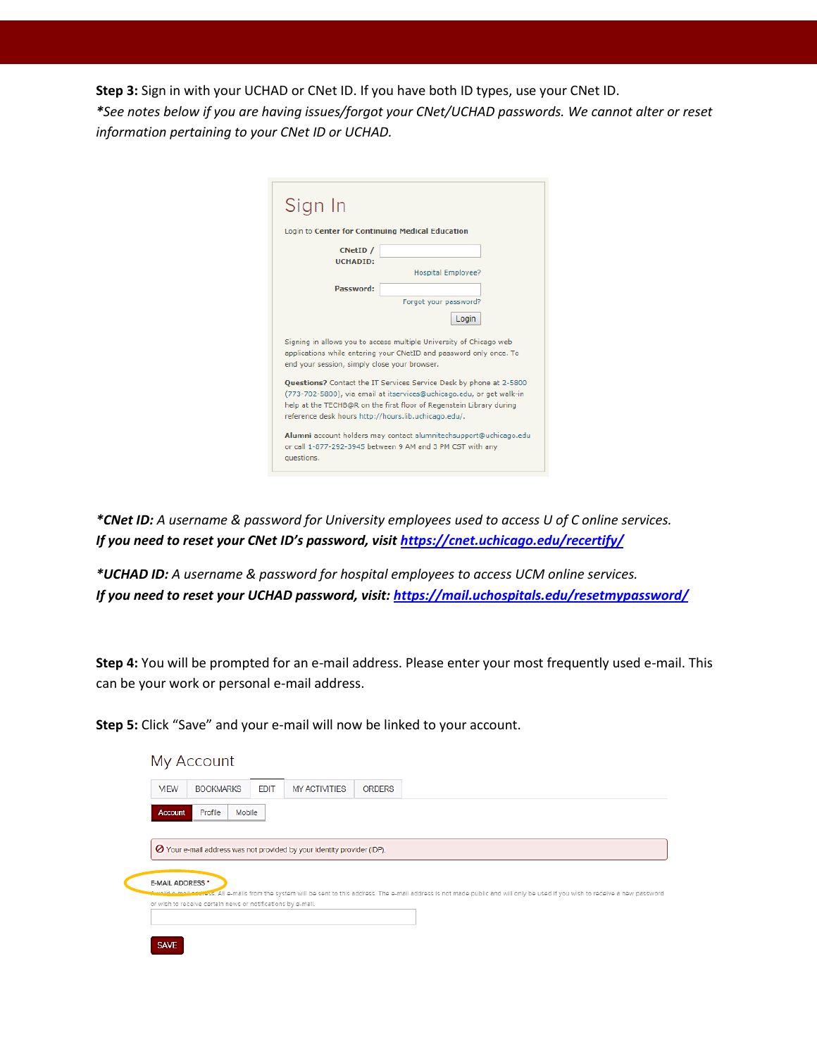**Step 3:** Sign in with your UCHAD or CNet ID. If you have both ID types, use your CNet ID. *\*See notes below if you are having issues/forgot your CNet/UCHAD passwords. We cannot alter or reset information pertaining to your CNet ID or UCHAD.*

| Sign In                                              |                                                                                                                                                                                                                   |
|------------------------------------------------------|-------------------------------------------------------------------------------------------------------------------------------------------------------------------------------------------------------------------|
| Login to Center for Continuing Medical Education     |                                                                                                                                                                                                                   |
| CNetID /                                             |                                                                                                                                                                                                                   |
| <b>UCHADID:</b>                                      | <b>Hospital Employee?</b>                                                                                                                                                                                         |
| <b>Password:</b>                                     |                                                                                                                                                                                                                   |
|                                                      | Forgot your password?                                                                                                                                                                                             |
|                                                      | Login                                                                                                                                                                                                             |
| end your session, simply close your browser.         | Signing in allows you to access multiple University of Chicago web<br>applications while entering your CNetID and password only once. To                                                                          |
| reference desk hours http://hours.lib.uchicago.edu/. | Questions? Contact the IT Services Service Desk by phone at 2-5800<br>(773-702-5800), via email at itservices@uchicago.edu, or get walk-in<br>help at the TECHB@R on the first floor of Regenstein Library during |
|                                                      | Alumni account holders may contact alumnitech support@uchicago.edu                                                                                                                                                |

*\*CNet ID: A username & password for University employees used to access U of C online services. If you need to reset your CNet ID's password, visit <https://cnet.uchicago.edu/recertify/>*

*\*UCHAD ID: A username & password for hospital employees to access UCM online services. If you need to reset your UCHAD password, visit: <https://mail.uchospitals.edu/resetmypassword/>*

**Step 4:** You will be prompted for an e-mail address. Please enter your most frequently used e-mail. This can be your work or personal e-mail address.

**Step 5:** Click "Save" and your e-mail will now be linked to your account.

| <b>MEW</b>       | <b>BOOKMARKS</b>                                            | <b>EDIT</b> | <b>MY ACTIVITIES</b>                                                    | <b>ORDERS</b> |                                                                                                                                                                      |
|------------------|-------------------------------------------------------------|-------------|-------------------------------------------------------------------------|---------------|----------------------------------------------------------------------------------------------------------------------------------------------------------------------|
| <b>Account</b>   | Mobile<br>Profile                                           |             |                                                                         |               |                                                                                                                                                                      |
|                  |                                                             |             |                                                                         |               |                                                                                                                                                                      |
|                  |                                                             |             |                                                                         |               |                                                                                                                                                                      |
|                  |                                                             |             | ⊘ Your e-mail address was not provided by your identity provider (IDP). |               |                                                                                                                                                                      |
|                  |                                                             |             |                                                                         |               |                                                                                                                                                                      |
|                  |                                                             |             |                                                                         |               |                                                                                                                                                                      |
|                  |                                                             |             |                                                                         |               |                                                                                                                                                                      |
|                  |                                                             |             |                                                                         |               |                                                                                                                                                                      |
| E-MAIL ADDRESS * |                                                             |             |                                                                         |               | ediress. All e-mails from the system will be sent to this address. The e-mail address is not made public and will only be used if you wish to receive a new password |
|                  | or wish to receive certain news or notifications by e-mail. |             |                                                                         |               |                                                                                                                                                                      |
|                  |                                                             |             |                                                                         |               |                                                                                                                                                                      |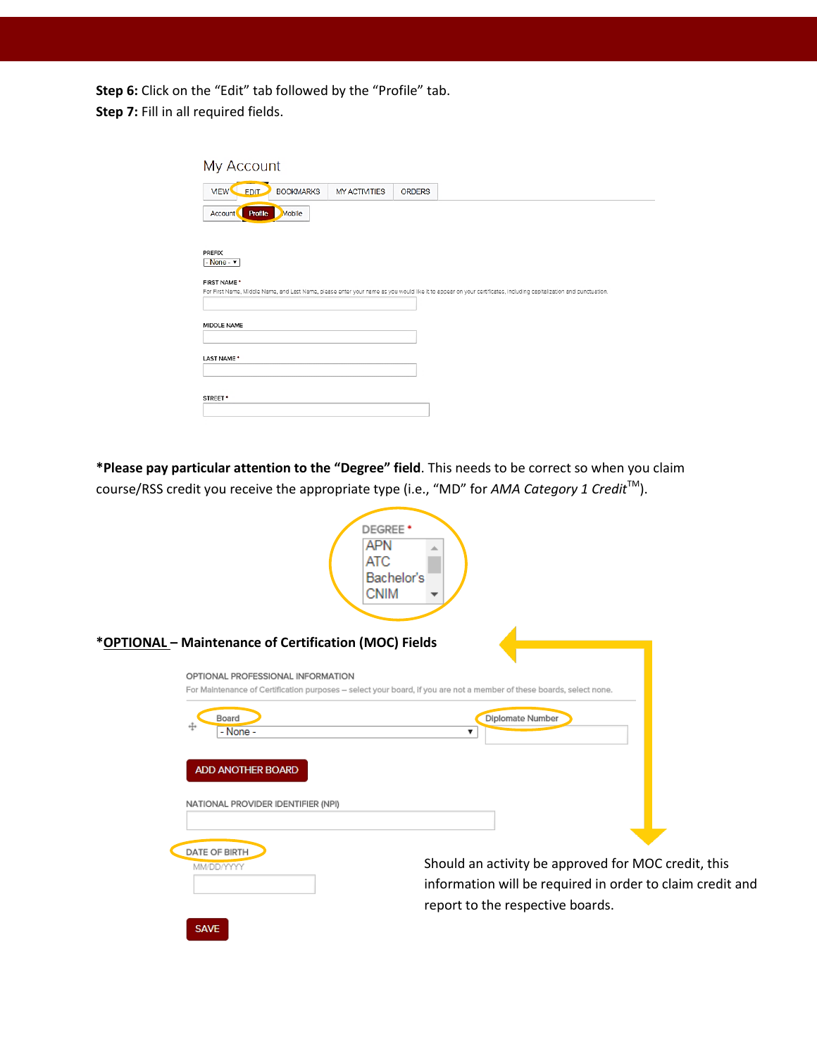**Step 6:** Click on the "Edit" tab followed by the "Profile" tab. **Step 7: Fill in all required fields.** 

| My Account                                                                                                                                                                        |                      |               |  |  |
|-----------------------------------------------------------------------------------------------------------------------------------------------------------------------------------|----------------------|---------------|--|--|
| <b>BOOKMARKS</b><br><b>VIEW</b><br><b>EDIT</b>                                                                                                                                    | <b>MY ACTIVITIES</b> | <b>ORDERS</b> |  |  |
| Mobile<br><b>Account</b><br>Profile                                                                                                                                               |                      |               |  |  |
|                                                                                                                                                                                   |                      |               |  |  |
| PREFIX<br>$-$ None - $\sqrt{ }$                                                                                                                                                   |                      |               |  |  |
| FIRST NAME *<br>For First Name, Middle Name, and Last Name, please enter your name as you would like it to appear on your certificates, including capitalization and punctuation. |                      |               |  |  |
|                                                                                                                                                                                   |                      |               |  |  |
| MIDDLE NAME                                                                                                                                                                       |                      |               |  |  |
|                                                                                                                                                                                   |                      |               |  |  |
| LAST NAME*                                                                                                                                                                        |                      |               |  |  |
|                                                                                                                                                                                   |                      |               |  |  |
| STREET <sup>+</sup>                                                                                                                                                               |                      |               |  |  |
|                                                                                                                                                                                   |                      |               |  |  |

**\*Please pay particular attention to the "Degree" field**. This needs to be correct so when you claim course/RSS credit you receive the appropriate type (i.e., "MD" for *AMA Category 1 Credit*<sup>™</sup>).

|                                                       | DEGREE <sup>+</sup><br><b>APN</b><br>ATC<br>Bachelor's<br><b>CNIM</b>                                                                                |
|-------------------------------------------------------|------------------------------------------------------------------------------------------------------------------------------------------------------|
| *OPTIONAL - Maintenance of Certification (MOC) Fields |                                                                                                                                                      |
| OPTIONAL PROFESSIONAL INFORMATION                     | For Maintenance of Certification purposes - select your board, if you are not a member of these boards, select none.                                 |
| Board<br>÷<br>- None -                                | Diplomate Number<br>▼                                                                                                                                |
| ADD ANOTHER BOARD                                     |                                                                                                                                                      |
| NATIONAL PROVIDER IDENTIFIER (NPI)                    |                                                                                                                                                      |
| DATE OF BIRTH<br>MM/DD/YYYY                           | Should an activity be approved for MOC credit, this<br>information will be required in order to claim credit and<br>report to the respective boards. |
| CAME.                                                 |                                                                                                                                                      |